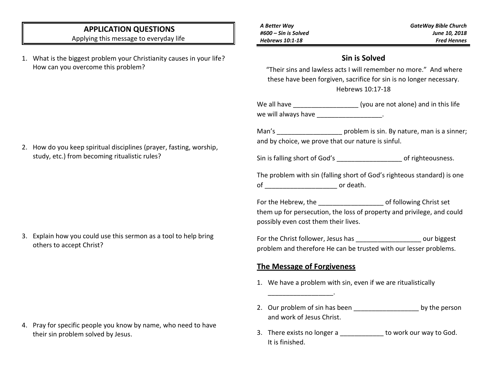### **APPLICATION QUESTIONS**

Applying this message to everyday life

- 1. What is the biggest problem your Christianity causes in your life? How can you overcome this problem?
- *A Better Way #600 – Sin is Solved Hebrews 10:1-18*

*GateWay Bible Church June 10, 2018 Fred Hennes*

### **Sin is Solved**

"Their sins and lawless acts I will remember no more." And where these have been forgiven, sacrifice for sin is no longer necessary. Hebrews 10:17-18

We all have \_\_\_\_\_\_\_\_\_\_\_\_\_\_\_\_\_\_ (you are not alone) and in this life we will always have \_\_\_\_\_\_\_\_\_\_\_\_\_\_\_\_.

Man's **Man's** problem is sin. By nature, man is a sinner; and by choice, we prove that our nature is sinful.

Sin is falling short of God's \_\_\_\_\_\_\_\_\_\_\_\_\_\_\_\_\_\_\_\_\_\_\_\_ of righteousness.

The problem with sin (falling short of God's righteous standard) is one of  $\qquad \qquad \text{or death.}$ 

For the Hebrew, the **Formulate Set is a set of following Christ set** them up for persecution, the loss of property and privilege, and could possibly even cost them their lives.

For the Christ follower, Jesus has  $\qquad \qquad \text{our biggest}$ problem and therefore He can be trusted with our lesser problems.

#### **The Message of Forgiveness**

\_\_\_\_\_\_\_\_\_\_\_\_\_\_\_\_\_\_.

- 1. We have a problem with sin, even if we are ritualistically
- 2. Our problem of sin has been by the person and work of Jesus Christ.
- 3. There exists no longer a **buying the vert** to work our way to God. It is finished.

2. How do you keep spiritual disciplines (prayer, fasting, worship, study, etc.) from becoming ritualistic rules?

3. Explain how you could use this sermon as a tool to help bring others to accept Christ?

4. Pray for specific people you know by name, who need to have their sin problem solved by Jesus.